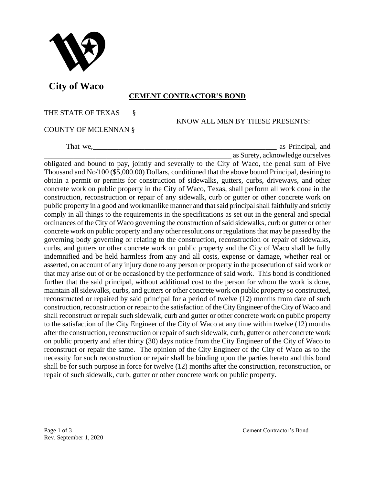

 **City of Waco** 

## **CEMENT CONTRACTOR'S BOND**

## THE STATE OF TEXAS §

KNOW ALL MEN BY THESE PRESENTS:

## COUNTY OF MCLENNAN §

That we,\_\_\_\_\_\_\_\_\_\_\_\_\_\_\_\_\_\_\_\_\_\_\_\_\_\_\_\_\_\_\_\_\_\_\_\_\_\_\_\_\_\_\_\_\_\_\_\_\_\_ as Principal, and \_\_\_\_\_\_\_\_\_\_\_\_\_\_\_\_\_\_\_\_\_\_\_\_\_\_\_\_\_\_\_\_\_\_\_\_\_\_\_\_\_\_\_\_\_\_\_\_\_\_\_ as Surety, acknowledge ourselves

obligated and bound to pay, jointly and severally to the City of Waco, the penal sum of Five Thousand and No/100 (\$5,000.00) Dollars, conditioned that the above bound Principal, desiring to obtain a permit or permits for construction of sidewalks, gutters, curbs, driveways, and other concrete work on public property in the City of Waco, Texas, shall perform all work done in the construction, reconstruction or repair of any sidewalk, curb or gutter or other concrete work on public property in a good and workmanlike manner and that said principal shall faithfully and strictly comply in all things to the requirements in the specifications as set out in the general and special ordinances of the City of Waco governing the construction of said sidewalks, curb or gutter or other concrete work on public property and any other resolutions or regulations that may be passed by the governing body governing or relating to the construction, reconstruction or repair of sidewalks, curbs, and gutters or other concrete work on public property and the City of Waco shall be fully indemnified and be held harmless from any and all costs, expense or damage, whether real or asserted, on account of any injury done to any person or property in the prosecution of said work or that may arise out of or be occasioned by the performance of said work. This bond is conditioned further that the said principal, without additional cost to the person for whom the work is done, maintain all sidewalks, curbs, and gutters or other concrete work on public property so constructed, reconstructed or repaired by said principal for a period of twelve (12) months from date of such construction, reconstruction or repair to the satisfaction of the City Engineer of the City of Waco and shall reconstruct or repair such sidewalk, curb and gutter or other concrete work on public property to the satisfaction of the City Engineer of the City of Waco at any time within twelve (12) months after the construction, reconstruction or repair of such sidewalk, curb, gutter or other concrete work on public property and after thirty (30) days notice from the City Engineer of the City of Waco to reconstruct or repair the same. The opinion of the City Engineer of the City of Waco as to the necessity for such reconstruction or repair shall be binding upon the parties hereto and this bond shall be for such purpose in force for twelve (12) months after the construction, reconstruction, or repair of such sidewalk, curb, gutter or other concrete work on public property.

Rev. September 1, 2020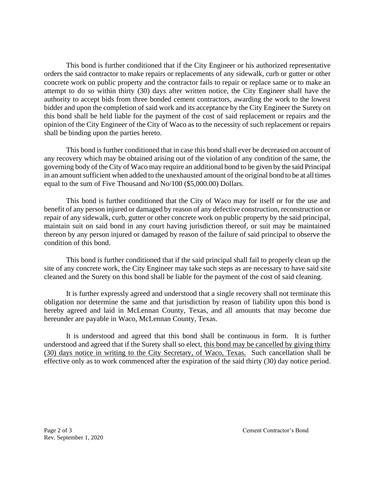This bond is further conditioned that if the City Engineer or his authorized representative orders the said contractor to make repairs or replacements of any sidewalk, curb or gutter or other concrete work on public property and the contractor fails to repair or replace same or to make an attempt to do so within thirty (30) days after written notice, the City Engineer shall have the authority to accept bids from three bonded cement contractors, awarding the work to the lowest bidder and upon the completion of said work and its acceptance by the City Engineer the Surety on this bond shall be held liable for the payment of the cost of said replacement or repairs and the opinion of the City Engineer of the City of Waco as to the necessity of such replacement or repairs shall be binding upon the parties hereto.

This bond is further conditioned that in case this bond shall ever be decreased on account of any recovery which may be obtained arising out of the violation of any condition of the same, the governing body of the City of Waco may require an additional bond to be given by the said Principal in an amount sufficient when added to the unexhausted amount of the original bond to be at all times equal to the sum of Five Thousand and No/100 (\$5,000.00) Dollars.

This bond is further conditioned that the City of Waco may for itself or for the use and benefit of any person injured or damaged by reason of any defective construction, reconstruction or repair of any sidewalk, curb, gutter or other concrete work on public property by the said principal, maintain suit on said bond in any court having jurisdiction thereof, or suit may be maintained thereon by any person injured or damaged by reason of the failure of said principal to observe the condition of this bond.

This bond is further conditioned that if the said principal shall fail to properly clean up the site of any concrete work, the City Engineer may take such steps as are necessary to have said site cleaned and the Surety on this bond shall be liable for the payment of the cost of said cleaning.

It is further expressly agreed and understood that a single recovery shall not terminate this obligation nor determine the same and that jurisdiction by reason of liability upon this bond is hereby agreed and laid in McLennan County, Texas, and all amounts that may become due hereunder are payable in Waco, McLennan County, Texas.

It is understood and agreed that this bond shall be continuous in form. It is further understood and agreed that if the Surety shall so elect, this bond may be cancelled by giving thirty (30) days notice in writing to the City Secretary, of Waco, Texas. Such cancellation shall be effective only as to work commenced after the expiration of the said thirty (30) day notice period.